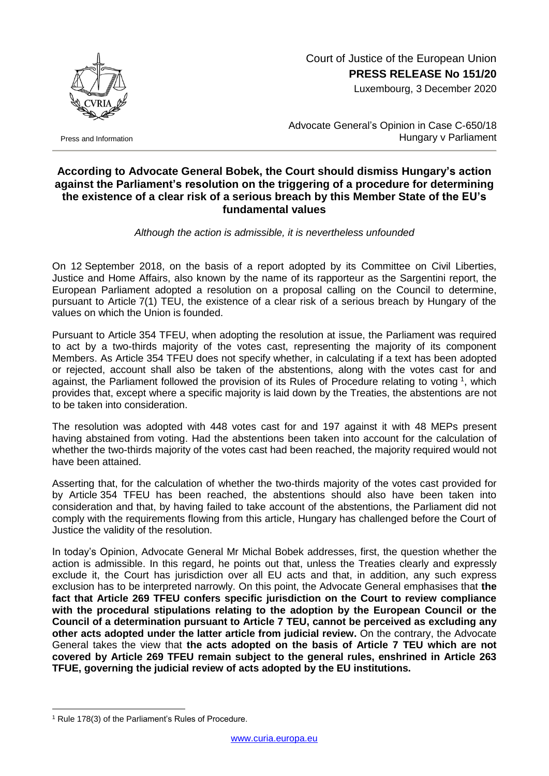

Press and Information

## Court of Justice of the European Union **PRESS RELEASE No 151/20**

Luxembourg, 3 December 2020

Advocate General's Opinion in Case C-650/18 Hungary v Parliament

## **According to Advocate General Bobek, the Court should dismiss Hungary's action against the Parliament's resolution on the triggering of a procedure for determining the existence of a clear risk of a serious breach by this Member State of the EU's fundamental values**

*Although the action is admissible, it is nevertheless unfounded*

On 12 September 2018, on the basis of a report adopted by its Committee on Civil Liberties, Justice and Home Affairs, also known by the name of its rapporteur as the Sargentini report, the European Parliament adopted a resolution on a proposal calling on the Council to determine, pursuant to Article 7(1) TEU, the existence of a clear risk of a serious breach by Hungary of the values on which the Union is founded.

Pursuant to Article 354 TFEU, when adopting the resolution at issue, the Parliament was required to act by a two-thirds majority of the votes cast, representing the majority of its component Members. As Article 354 TFEU does not specify whether, in calculating if a text has been adopted or rejected, account shall also be taken of the abstentions, along with the votes cast for and against, the Parliament followed the provision of its Rules of Procedure relating to voting  $1$ , which provides that, except where a specific majority is laid down by the Treaties, the abstentions are not to be taken into consideration.

The resolution was adopted with 448 votes cast for and 197 against it with 48 MEPs present having abstained from voting. Had the abstentions been taken into account for the calculation of whether the two-thirds majority of the votes cast had been reached, the majority required would not have been attained.

Asserting that, for the calculation of whether the two-thirds majority of the votes cast provided for by Article 354 TFEU has been reached, the abstentions should also have been taken into consideration and that, by having failed to take account of the abstentions, the Parliament did not comply with the requirements flowing from this article, Hungary has challenged before the Court of Justice the validity of the resolution.

In today's Opinion, Advocate General Mr Michal Bobek addresses, first, the question whether the action is admissible. In this regard, he points out that, unless the Treaties clearly and expressly exclude it, the Court has jurisdiction over all EU acts and that, in addition, any such express exclusion has to be interpreted narrowly. On this point, the Advocate General emphasises that **the fact that Article 269 TFEU confers specific jurisdiction on the Court to review compliance with the procedural stipulations relating to the adoption by the European Council or the Council of a determination pursuant to Article 7 TEU, cannot be perceived as excluding any other acts adopted under the latter article from judicial review.** On the contrary, the Advocate General takes the view that **the acts adopted on the basis of Article 7 TEU which are not covered by Article 269 TFEU remain subject to the general rules, enshrined in Article 263 TFUE, governing the judicial review of acts adopted by the EU institutions.**

1

<sup>&</sup>lt;sup>1</sup> Rule 178(3) of the Parliament's Rules of Procedure.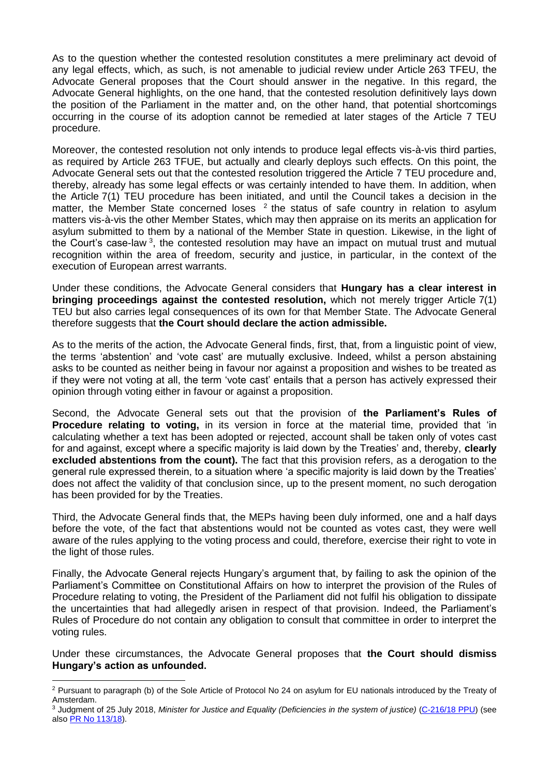As to the question whether the contested resolution constitutes a mere preliminary act devoid of any legal effects, which, as such, is not amenable to judicial review under Article 263 TFEU, the Advocate General proposes that the Court should answer in the negative. In this regard, the Advocate General highlights, on the one hand, that the contested resolution definitively lays down the position of the Parliament in the matter and, on the other hand, that potential shortcomings occurring in the course of its adoption cannot be remedied at later stages of the Article 7 TEU procedure.

Moreover, the contested resolution not only intends to produce legal effects vis-à-vis third parties, as required by Article 263 TFUE, but actually and clearly deploys such effects. On this point, the Advocate General sets out that the contested resolution triggered the Article 7 TEU procedure and, thereby, already has some legal effects or was certainly intended to have them. In addition, when the Article 7(1) TEU procedure has been initiated, and until the Council takes a decision in the matter, the Member State concerned loses  $2$  the status of safe country in relation to asylum matters vis-à-vis the other Member States, which may then appraise on its merits an application for asylum submitted to them by a national of the Member State in question. Likewise, in the light of the Court's case-law<sup>3</sup>, the contested resolution may have an impact on mutual trust and mutual recognition within the area of freedom, security and justice, in particular, in the context of the execution of European arrest warrants.

Under these conditions, the Advocate General considers that **Hungary has a clear interest in bringing proceedings against the contested resolution,** which not merely trigger Article 7(1) TEU but also carries legal consequences of its own for that Member State. The Advocate General therefore suggests that **the Court should declare the action admissible.**

As to the merits of the action, the Advocate General finds, first, that, from a linguistic point of view, the terms 'abstention' and 'vote cast' are mutually exclusive. Indeed, whilst a person abstaining asks to be counted as neither being in favour nor against a proposition and wishes to be treated as if they were not voting at all, the term 'vote cast' entails that a person has actively expressed their opinion through voting either in favour or against a proposition.

Second, the Advocate General sets out that the provision of **the Parliament's Rules of Procedure relating to voting,** in its version in force at the material time, provided that 'in calculating whether a text has been adopted or rejected, account shall be taken only of votes cast for and against, except where a specific majority is laid down by the Treaties' and, thereby, **clearly excluded abstentions from the count).** The fact that this provision refers, as a derogation to the general rule expressed therein, to a situation where 'a specific majority is laid down by the Treaties' does not affect the validity of that conclusion since, up to the present moment, no such derogation has been provided for by the Treaties.

Third, the Advocate General finds that, the MEPs having been duly informed, one and a half days before the vote, of the fact that abstentions would not be counted as votes cast, they were well aware of the rules applying to the voting process and could, therefore, exercise their right to vote in the light of those rules.

Finally, the Advocate General rejects Hungary's argument that, by failing to ask the opinion of the Parliament's Committee on Constitutional Affairs on how to interpret the provision of the Rules of Procedure relating to voting, the President of the Parliament did not fulfil his obligation to dissipate the uncertainties that had allegedly arisen in respect of that provision. Indeed, the Parliament's Rules of Procedure do not contain any obligation to consult that committee in order to interpret the voting rules.

Under these circumstances, the Advocate General proposes that **the Court should dismiss Hungary's action as unfounded.**

<sup>1</sup> <sup>2</sup> Pursuant to paragraph (b) of the Sole Article of Protocol No 24 on asylum for EU nationals introduced by the Treaty of Amsterdam.

<sup>3</sup> Judgment of 25 July 2018, *Minister for Justice and Equality (Deficiencies in the system of justice)* [\(C-216/18](http://curia.europa.eu/juris/documents.jsf?num=C-216/18) PPU) (see als[o PR No 113/18\)](https://curia.europa.eu/jcms/upload/docs/application/pdf/2018-07/cp180113en.pdf).